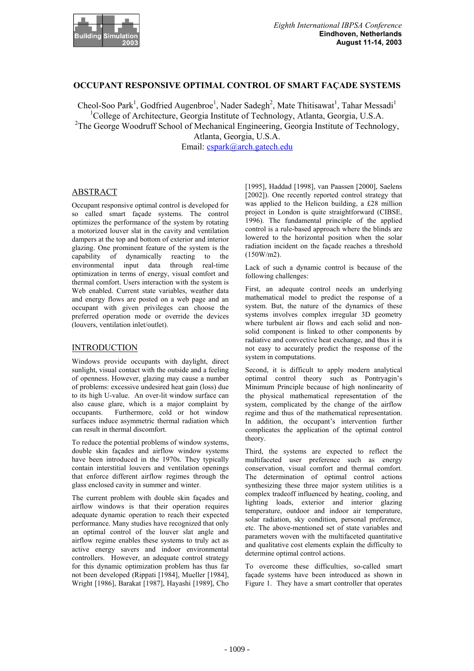

## **OCCUPANT RESPONSIVE OPTIMAL CONTROL OF SMART FAÇADE SYSTEMS**

Cheol-Soo Park<sup>1</sup>, Godfried Augenbroe<sup>1</sup>, Nader Sadegh<sup>2</sup>, Mate Thitisawat<sup>1</sup>, Tahar Messadi<sup>1</sup> <sup>1</sup>College of Architecture, Georgia Institute of Technology, Atlanta, Georgia, U.S.A. <sup>2</sup>The George Woodruff School of Mechanical Engineering, Georgia Institute of Technology, Atlanta, Georgia, U.S.A. Email: cspark@arch.gatech.edu

### ABSTRACT

Occupant responsive optimal control is developed for so called smart façade systems. The control optimizes the performance of the system by rotating a motorized louver slat in the cavity and ventilation dampers at the top and bottom of exterior and interior glazing. One prominent feature of the system is the capability of dynamically reacting to the environmental input data through real-time optimization in terms of energy, visual comfort and thermal comfort. Users interaction with the system is Web enabled. Current state variables, weather data and energy flows are posted on a web page and an occupant with given privileges can choose the preferred operation mode or override the devices (louvers, ventilation inlet/outlet).

# INTRODUCTION

Windows provide occupants with daylight, direct sunlight, visual contact with the outside and a feeling of openness. However, glazing may cause a number of problems: excessive undesired heat gain (loss) due to its high U-value. An over-lit window surface can also cause glare, which is a major complaint by occupants. Furthermore, cold or hot window surfaces induce asymmetric thermal radiation which can result in thermal discomfort.

To reduce the potential problems of window systems, double skin façades and airflow window systems have been introduced in the 1970s. They typically contain interstitial louvers and ventilation openings that enforce different airflow regimes through the glass enclosed cavity in summer and winter.

The current problem with double skin façades and airflow windows is that their operation requires adequate dynamic operation to reach their expected performance. Many studies have recognized that only an optimal control of the louver slat angle and airflow regime enables these systems to truly act as active energy savers and indoor environmental controllers. However, an adequate control strategy for this dynamic optimization problem has thus far not been developed (Rippati [1984], Mueller [1984], Wright [1986], Barakat [1987], Hayashi [1989], Cho [1995], Haddad [1998], van Paassen [2000], Saelens [2002]). One recently reported control strategy that was applied to the Helicon building, a £28 million project in London is quite straightforward (CIBSE, 1996). The fundamental principle of the applied control is a rule-based approach where the blinds are lowered to the horizontal position when the solar radiation incident on the façade reaches a threshold (150W/m2).

Lack of such a dynamic control is because of the following challenges:

First, an adequate control needs an underlying mathematical model to predict the response of a system. But, the nature of the dynamics of these systems involves complex irregular 3D geometry where turbulent air flows and each solid and nonsolid component is linked to other components by radiative and convective heat exchange, and thus it is not easy to accurately predict the response of the system in computations.

Second, it is difficult to apply modern analytical optimal control theory such as Pontryagin's Minimum Principle because of high nonlinearity of the physical mathematical representation of the system, complicated by the change of the airflow regime and thus of the mathematical representation. In addition, the occupant's intervention further complicates the application of the optimal control theory.

Third, the systems are expected to reflect the multifaceted user preference such as energy conservation, visual comfort and thermal comfort. The determination of optimal control actions synthesizing these three major system utilities is a complex tradeoff influenced by heating, cooling, and lighting loads, exterior and interior glazing temperature, outdoor and indoor air temperature, solar radiation, sky condition, personal preference, etc. The above-mentioned set of state variables and parameters woven with the multifaceted quantitative and qualitative cost elements explain the difficulty to determine optimal control actions.

To overcome these difficulties, so-called smart façade systems have been introduced as shown in Figure 1. They have a smart controller that operates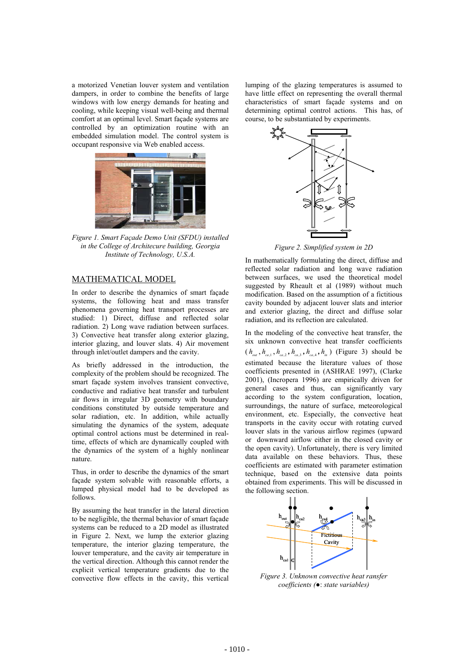a motorized Venetian louver system and ventilation dampers, in order to combine the benefits of large windows with low energy demands for heating and cooling, while keeping visual well-being and thermal comfort at an optimal level. Smart façade systems are controlled by an optimization routine with an embedded simulation model. The control system is occupant responsive via Web enabled access.



*Figure 1. Smart Façade Demo Unit (SFDU) installed in the College of Architecure building, Georgia Institute of Technology, U.S.A.* 

## MATHEMATICAL MODEL

In order to describe the dynamics of smart façade systems, the following heat and mass transfer phenomena governing heat transport processes are studied: 1) Direct, diffuse and reflected solar radiation. 2) Long wave radiation between surfaces. 3) Convective heat transfer along exterior glazing, interior glazing, and louver slats. 4) Air movement through inlet/outlet dampers and the cavity.

As briefly addressed in the introduction, the complexity of the problem should be recognized. The smart façade system involves transient convective, conductive and radiative heat transfer and turbulent air flows in irregular 3D geometry with boundary conditions constituted by outside temperature and solar radiation, etc. In addition, while actually simulating the dynamics of the system, adequate optimal control actions must be determined in realtime, effects of which are dynamically coupled with the dynamics of the system of a highly nonlinear nature.

Thus, in order to describe the dynamics of the smart façade system solvable with reasonable efforts, a lumped physical model had to be developed as follows.

By assuming the heat transfer in the lateral direction to be negligible, the thermal behavior of smart façade systems can be reduced to a 2D model as illustrated in Figure 2. Next, we lump the exterior glazing temperature, the interior glazing temperature, the louver temperature, and the cavity air temperature in the vertical direction. Although this cannot render the explicit vertical temperature gradients due to the convective flow effects in the cavity, this vertical

lumping of the glazing temperatures is assumed to have little effect on representing the overall thermal characteristics of smart façade systems and on determining optimal control actions. This has, of course, to be substantiated by experiments.



*Figure 2. Simplified system in 2D* 

In mathematically formulating the direct, diffuse and reflected solar radiation and long wave radiation between surfaces, we used the theoretical model suggested by Rheault et al (1989) without much modification. Based on the assumption of a fictitious cavity bounded by adjacent louver slats and interior and exterior glazing, the direct and diffuse solar radiation, and its reflection are calculated.

In the modeling of the convective heat transfer, the six unknown convective heat transfer coefficients  $(h_{out}, h_{ca,1}, h_{ca,2}, h_{ca,3}, h_{ca,4}, h_{in})$  (Figure 3) should be estimated because the literature values of those coefficients presented in (ASHRAE 1997), (Clarke 2001), (Incropera 1996) are empirically driven for general cases and thus, can significantly vary according to the system configuration, location, surroundings, the nature of surface, meteorological environment, etc. Especially, the convective heat transports in the cavity occur with rotating curved louver slats in the various airflow regimes (upward or downward airflow either in the closed cavity or the open cavity). Unfortunately, there is very limited data available on these behaviors. Thus, these coefficients are estimated with parameter estimation technique, based on the extensive data points obtained from experiments. This will be discussed in the following section.



*Figure 3. Unknown convective heat ransfer coefficients (Ɣ*: *state variables)*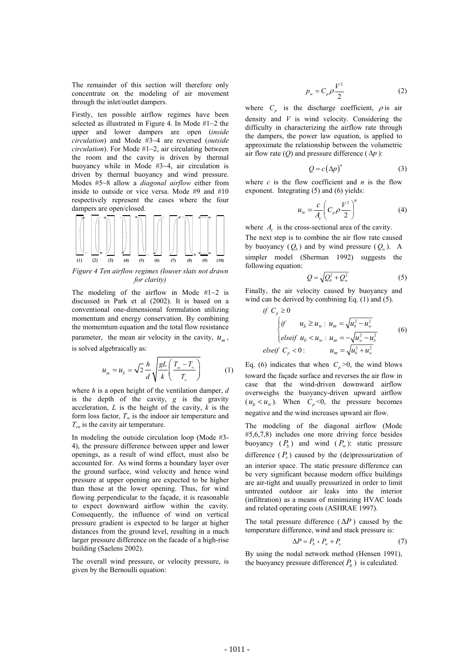The remainder of this section will therefore only concentrate on the modeling of air movement through the inlet/outlet dampers.

Firstly, ten possible airflow regimes have been selected as illustrated in Figure 4. In Mode  $#1~2$  the upper and lower dampers are open (*inside circulation*) and Mode #3~4 are reversed (*outside circulation*). For Mode #1~2, air circulating between the room and the cavity is driven by thermal buoyancy while in Mode #3~4, air circulation is driven by thermal buoyancy and wind pressure. Modes #5~8 allow a *diagonal airflow* either from inside to outside or vice versa. Mode #9 and #10 respectively represent the cases where the four dampers are open/closed.



*Figure 4 Ten airflow regimes (louver slats not drawn for clarity)* 

The modeling of the airflow in Mode  $#1~2$  is discussed in Park et al (2002). It is based on a conventional one-dimensional formulation utilizing momentum and energy conservation. By combining the momemtum equation and the total flow resistance parameter, the mean air velocity in the cavity,  $u_m$ , is solved algebraically as:

$$
u_m = u_b = \sqrt{2} \frac{h}{d} \sqrt{\frac{gL}{k} \left( \frac{T_{ca} - T_{\infty}}{T_{\infty}} \right)}
$$
(1)

where *h* is a open height of the ventilation damper, *d* is the depth of the cavity, *g* is the gravity acceleration, *L* is the height of the cavity, *k* is the form loss factor,  $T_{\infty}$  is the indoor air temperature and  $T_{ca}$  is the cavity air temperature.

In modeling the outside circulation loop (Mode #3- 4), the pressure difference between upper and lower openings, as a result of wind effect, must also be accounted for. As wind forms a boundary layer over the ground surface, wind velocity and hence wind pressure at upper opening are expected to be higher than those at the lower opening. Thus, for wind flowing perpendicular to the façade, it is reasonable to expect downward airflow within the cavity. Consequently, the influence of wind on vertical pressure gradient is expected to be larger at higher distances from the ground level, resulting in a much larger pressure difference on the facade of a high-rise building (Saelens 2002).

The overall wind pressure, or velocity pressure, is given by the Bernoulli equation:

$$
p_w = C_p \rho \frac{V^2}{2} \tag{2}
$$

where  $C_p$  is the discharge coefficient,  $\rho$  is air density and *V* is wind velocity. Considering the difficulty in characterizing the airflow rate through the dampers, the power law equation, is applied to approximate the relationship between the volumetric air flow rate (*Q*) and pressure difference ( $\Delta p$ ):

$$
Q = c(\Delta p)^n \tag{3}
$$

where  $c$  is the flow coefficient and  $n$  is the flow exponent. Integrating (5) and (6) yields:

$$
u_w = \frac{c}{A_c} \left( C_p \rho \frac{V^2}{2} \right)^n \tag{4}
$$

where  $A_c$  is the cross-sectional area of the cavity.

The next step is to combine the air flow rate caused by buoyancy  $(Q_b)$  and by wind pressure  $(Q_w)$ . A simpler model (Sherman 1992) suggests the following equation:

$$
Q = \sqrt{Q_b^2 + Q_w^2} \tag{5}
$$

Finally, the air velocity caused by buoyancy and wind can be derived by combining Eq. (1) and (5).

$$
\begin{aligned}\n\text{if } C_p \ge 0 \\
\begin{cases}\n\text{if } u_b \ge u_w: u_m = \sqrt{u_b^2 - u_w^2} \\
\text{elseif } u_b < u_w: u_m = -\sqrt{u_w^2 - u_b^2} \\
\text{elseif } C_p < 0: u_m = \sqrt{u_b^2 + u_w^2}\n\end{cases}\n\end{aligned} \tag{6}
$$

Eq. (6) indicates that when  $C_p > 0$ , the wind blows toward the façade surface and reverses the air flow in case that the wind-driven downward airflow overweighs the buoyancy-driven upward airflow  $(u_b < u_w)$ . When  $C_p < 0$ , the pressure becomes negative and the wind increases upward air flow.

The modeling of the diagonal airflow (Mode #5,6,7,8) includes one more driving force besides buoyancy  $(P_b)$  and wind  $(P_w)$ : static pressure difference  $(P_s)$  caused by the (de)pressurization of an interior space. The static pressure difference can be very significant because modern office buildings are air-tight and usually pressurized in order to limit untreated outdoor air leaks into the interior (infiltration) as a means of minimizing HVAC loads and related operating costs (ASHRAE 1997).

The total pressure difference  $(\Delta P)$  caused by the temperature difference, wind and stack pressure is:

$$
\Delta P = P_b + P_w + P_s \tag{7}
$$

By using the nodal network method (Hensen 1991), the buoyancy pressure difference( $P<sub>b</sub>$ ) is calculated.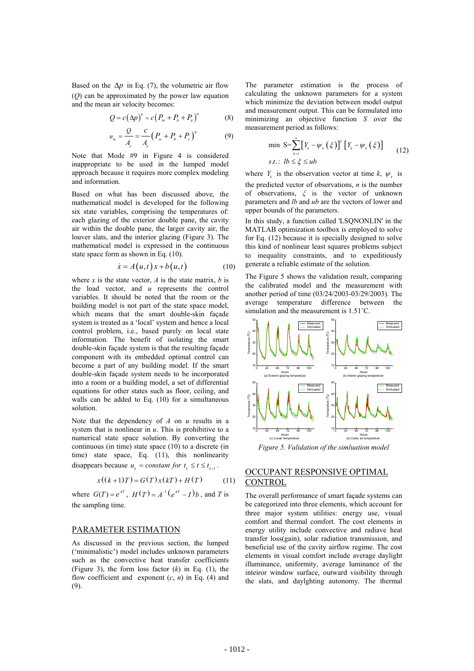Based on the  $\Delta p$  in Eq. (7), the volumetric air flow (*Q*) can be approximated by the power law equation and the mean air velocity becomes:

$$
Q = c \left(\Delta p\right)^n = c \left(P_w + P_b + P_s\right)^n \tag{8}
$$

$$
u_{m} = \frac{Q}{A_{c}} = \frac{c}{A_{c}} \left( P_{w} + P_{b} + P_{s} \right)^{n}
$$
 (9)

Note that Mode #9 in Figure 4 is considered inappropriate to be used in the lumped model approach because it requires more complex modeling and information.

Based on what has been discussed above, the mathematical model is developed for the following six state variables, comprising the temperatures of: each glazing of the exterior double pane, the cavity air within the double pane, the larger cavity air, the louver slats, and the interior glazing (Figure 3). The mathematical model is expressed in the continuous state space form as shown in Eq. (10).

$$
\dot{x} = A(u,t)x + b(u,t) \tag{10}
$$

where *x* is the state vector, *A* is the state matrix, *b* is the load vector, and *u* represents the control variables. It should be noted that the room or the building model is not part of the state space model, which means that the smart double-skin façade system is treated as a 'local' system and hence a local control problem, i.e., based purely on local state information. The benefit of isolating the smart double-skin façade system is that the resulting façade component with its embedded optimal control can become a part of any building model. If the smart double-skin façade system needs to be incorporated into a room or a building model, a set of differential equations for other states such as floor, ceiling, and walls can be added to Eq. (10) for a simultaneous solution.

Note that the dependency of *A* on *u* results in a system that is nonlinear in *u*. This is prohibitive to a numerical state space solution. By converting the continuous (in time) state space (10) to a discrete (in time) state space, Eq. (11), this nonlinearity disappears because  $u_k = constant$  for  $t_k \le t \le t_{k+1}$ .

$$
x((k+1)T) = G(T)x(kT) + H(T)
$$
 (11)

where  $G(T) = e^{AT}$ ,  $H(T) = A^{-1}(e^{AT} - I)b$ , and *T* is the sampling time.

#### PARAMETER ESTIMATION

As discussed in the previous section, the lumped ('minimalistic') model includes unknown parameters such as the convective heat transfer coefficients (Figure 3), the form loss factor (*k*) in Eq. (1), the flow coefficient and exponent  $(c, n)$  in Eq. (4) and (9).

The parameter estimation is the process of calculating the unknown parameters for a system which minimize the deviation between model output and measurement output. This can be formulated into minimizing an objective function *S* over the measurement period as follows:

$$
\min \ \mathbf{S} = \sum_{k=1}^{n} \left[ Y_k - \psi_k \left( \xi \right) \right]^T \left[ Y_k - \psi_k \left( \xi \right) \right] \tag{12}
$$
\n
$$
s.t. : lb \le \xi \le ub
$$

where  $Y_k$  is the observation vector at time  $k, \psi_k$  is the predicted vector of observations, *n* is the number of observations, *ȟ* is the vector of unknown parameters and *lb* and *ub* are the vectors of lower and upper bounds of the parameters.

In this study, a function called 'LSQNONLIN' in the MATLAB optimization toolbox is employed to solve for Eq. (12) because it is specially designed to solve this kind of nonlinear least squares problems subject to inequality constraints, and to expeditiously generate a reliable estimate of the solution.

The Figure 5 shows the validation result, comparing the calibrated model and the measurement with another period of time (03/24/2003-03/29/2003). The average temperature difference between the simulation and the measurement is 1.51˚C.



# OCCUPANT RESPONSIVE OPTIMAL **CONTROL**

The overall performance of smart façade systems can be categorized into three elements, which account for three major system utilities: energy use, visual comfort and thermal comfort. The cost elements in energy utility include convective and radiave heat transfer loss(gain), solar radiation transmission, and beneficial use of the cavity airflow regime. The cost elements in visual comfort include average daylight illuminance, uniformity, average luminance of the inteiror window surface, outward visibility through the slats, and daylghting autonomy. The thermal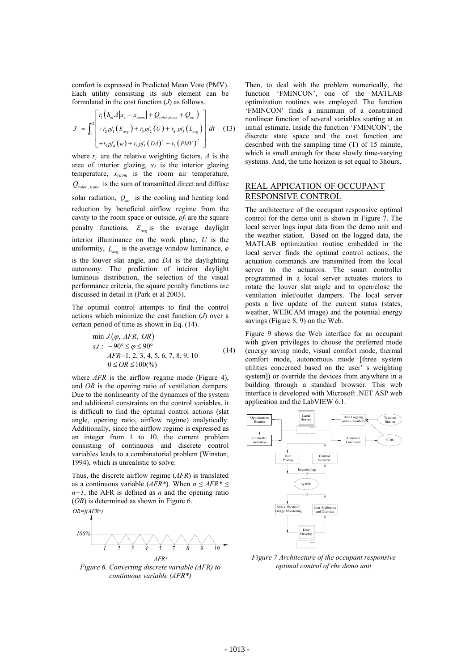comfort is expressed in Predicted Mean Vote (PMV). Each utility consisting its sub element can be formulated in the cost function (*J*) as follows.

$$
J = \int_{1}^{2} \left[ r_1 \left( h_{in} A \middle| x_2 - x_{room} \middle| + Q_{solar, trans} + Q_{air} \right) \right] + r_2 p f_1 \left( E_{avg} \right) + r_3 p f_2 \left( U \right) + r_4 p f_3 \left( L_{avg} \right) \right] dt \quad (13)
$$
  
+
$$
r_5 p f_4 \left( \varphi \right) + r_6 p f_5 \left( DA \right)^2 + r_7 \left( PMV \right)^2
$$

where  $r_i$  are the relative weighting factors,  $A$  is the area of interior glazing,  $x_2$  is the interior glazing temperature, *xroom* is the room air temperature,  $Q_{solar$  *trans* is the sum of transmitted direct and diffuse solar radiation,  $Q_{air}$  is the cooling and heating load reduction by beneficial airflow regime from the cavity to the room space or outside,  $pf<sub>i</sub>$  are the square penalty functions,  $E_{avg}$  is the average daylight interior illuminance on the work plane, *U* is the uniformity,  $L_{\text{ave}}$  is the average window luminance,  $\varphi$ is the louver slat angle, and *DA* is the daylighting autonomy. The prediction of inteiror daylight luminous distribution, the selection of the visual performance criteria, the square penalty functions are discussed in detail in (Park et al 2003).

The optimal control attempts to find the control actions which minimize the cost function (*J*) over a certain period of time as shown in Eq. (14).

$$
\min J(\varphi, \text{ } AFR, \text{ } OR)
$$
\n
$$
s.t.: -90^{\circ} \leq \varphi \leq 90^{\circ}
$$
\n
$$
\text{ } AFR=1, 2, 3, 4, 5, 6, 7, 8, 9, 10
$$
\n
$$
0 \leq OR \leq 100(\%)
$$
\n(14)

where *AFR* is the airflow regime mode (Figure 4), and *OR* is the opening ratio of ventilation dampers. Due to the nonlinearity of the dynamics of the system and additional constraints on the control variables, it is difficult to find the optimal control actions (slat angle, opening ratio, airflow regime) analytically. Additionally, since the airflow regime is expressed as an integer from 1 to 10, the current problem consisting of continuous and discrete control variables leads to a combinatorial problem (Winston, 1994), which is unrealistic to solve.

Thus, the discrete airflow regime (*AFR*) is translated as a continuous variable (*AFR*<sup>\*</sup>). When  $n \leq AFR^* \leq$  $n+1$ , the AFR is defined as *n* and the opening ratio (*OR*) is determined as shown in Figure 6.



*AFR*\* *Figure 6. Converting discrete variable (AFR) to continuous variable (AFR\*)* 

*1 2 3 4 5 7 8 9 10*

Then, to deal with the problem numerically, the function 'FMINCON', one of the MATLAB optimization routines was employed. The function 'FMINCON' finds a minimum of a constrained nonlinear function of several variables starting at an initial estimate. Inside the function 'FMINCON', the discrete state space and the cost function are described with the sampling time (T) of 15 minute, which is small enough for these slowly time-varying systems. And, the time horizon is set equal to 3hours.

#### REAL APPICATION OF OCCUPANT RESPONSIVE CONTROL

The architecture of the occupant responsive optimal control for the demo unit is shown in Figure 7. The local server logs input data from the demo unit and the weather station. Based on the logged data, the MATLAB optimization routine embedded in the local server finds the optimal control actions, the actuation commands are transmitted from the local server to the actuators. The smart controller programmed in a local server actuates motors to rotate the louver slat angle and to open/close the ventilation inlet/outlet dampers. The local server posts a live update of the current status (states, weather, WEBCAM image) and the potential energy savings (Figure 8, 9) on the Web.

Figure 9 shows the Web interface for an occupant with given privileges to choose the preferred mode (energy saving mode, visual comfort mode, thermal comfort mode, autonomous mode [three system utilities concerned based on the user' s weighting system]) or override the devices from anywhere in a building through a standard browser. This web interface is developed with Microsoft .NET ASP web application and the LabVIEW 6.1.



*Figure 7 Architecture of the occupant responsive optimal control of rhe demo unit*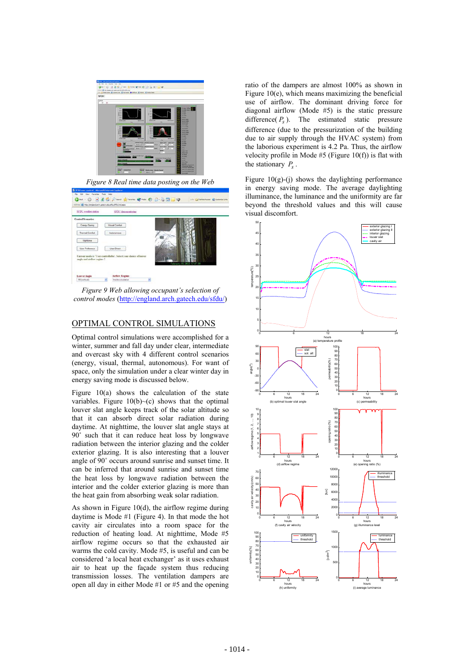

*Figure 8 Real time data posting on the Web* 



*Figure 9 Web allowing occupant's selection of control modes* (http://england.arch.gatech.edu/sfdu/)

#### OPTIMAL CONTROL SIMULATIONS

Optimal control simulations were accomplished for a winter, summer and fall day under clear, intermediate and overcast sky with 4 different control scenarios (energy, visual, thermal, autonomous). For want of space, only the simulation under a clear winter day in energy saving mode is discussed below.

Figure  $10(a)$  shows the calculation of the state variables. Figure  $10(b)$   $\sim$  (c) shows that the optimal louver slat angle keeps track of the solar altitude so that it can absorb direct solar radiation during daytime. At nighttime, the louver slat angle stays at 90˚ such that it can reduce heat loss by longwave radiation between the interior glazing and the colder exterior glazing. It is also interesting that a louver angle of 90˚ occurs around sunrise and sunset time. It can be inferred that around sunrise and sunset time the heat loss by longwave radiation between the interior and the colder exterior glazing is more than the heat gain from absorbing weak solar radiation.

As shown in Figure 10(d), the airflow regime during daytime is Mode #1 (Figure 4). In that mode the hot cavity air circulates into a room space for the reduction of heating load. At nighttime, Mode #5 airflow regime occurs so that the exhausted air warms the cold cavity. Mode #5, is useful and can be considered 'a local heat exchanger' as it uses exhaust air to heat up the façade system thus reducing transmission losses. The ventilation dampers are open all day in either Mode #1 or #5 and the opening ratio of the dampers are almost 100% as shown in Figure 10(e), which means maximizing the beneficial use of airflow. The dominant driving force for diagonal airflow (Mode #5) is the static pressure difference( $P_s$ ). The estimated static pressure difference (due to the pressurization of the building due to air supply through the HVAC system) from the laborious experiment is 4.2 Pa. Thus, the airflow velocity profile in Mode  $#5$  (Figure 10(f)) is flat with the stationary  $P_{\rm s}$ .

Figure  $10(g)-(i)$  shows the daylighting performance in energy saving mode. The average daylighting illuminance, the luminance and the uniformity are far beyond the threshold values and this will cause visual discomfort.

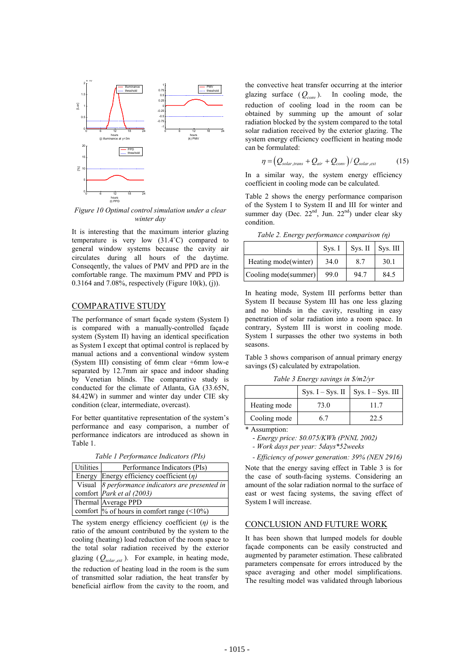

*Figure 10 Optimal control simulation under a clear winter day* 

It is interesting that the maximum interior glazing temperature is very low (31.4˚C) compared to general window systems because the cavity air circulates during all hours of the daytime. Conseqently, the values of PMV and PPD are in the comfortable range. The maximum PMV and PPD is 0.3164 and 7.08%, respectively (Figure 10(k), (j)).

#### COMPARATIVE STUDY

The performance of smart façade system (System I) is compared with a manually-controlled façade system (System II) having an identical specification as System I except that optimal control is replaced by manual actions and a conventional window system (System III) consisting of 6mm clear +6mm low-e separated by 12.7mm air space and indoor shading by Venetian blinds. The comparative study is conducted for the climate of Atlanta, GA (33.65N, 84.42W) in summer and winter day under CIE sky condition (clear, intermediate, overcast).

For better quantitative representation of the system's performance and easy comparison, a number of performance indicators are introduced as shown in Table 1.

*Table 1 Performance Indicators (PIs)* 

| Utilities | Performance Indicators (PIs)                     |
|-----------|--------------------------------------------------|
|           | Energy Energy efficiency coefficient $(\eta)$    |
|           | Visual 8 performance indicators are presented in |
|           | comfort Park et al (2003)                        |
|           | Thermal Average PPD                              |
|           | comfort $\%$ of hours in comfort range (<10%)    |

The system energy efficiency coefficient  $(\eta)$  is the ratio of the amount contributed by the system to the cooling (heating) load reduction of the room space to the total solar radiation received by the exterior glazing  $(Q_{solar, ext})$ . For example, in heating mode, the reduction of heating load in the room is the sum of transmitted solar radiation, the heat transfer by beneficial airflow from the cavity to the room, and

the convective heat transfer occurring at the interior glazing surface  $(Q_{conv})$ . In cooling mode, the reduction of cooling load in the room can be obtained by summing up the amount of solar radiation blocked by the system compared to the total solar radiation received by the exterior glazing. The system energy efficiency coefficient in heating mode can be formulated:

$$
\eta = \left(Q_{solar,trans} + Q_{air} + Q_{conv}\right) / Q_{solar,ext} \tag{15}
$$

In a similar way, the system energy efficiency coefficient in cooling mode can be calculated.

Table 2 shows the energy performance comparison of the System I to System II and III for winter and summer day (Dec.  $22^{nd}$ , Jun.  $22^{nd}$ ) under clear sky condition.

*Table 2. Energy performance comparison (Ș)*

|                      | Sys. I |      | $Sys. II$ Sys. III |
|----------------------|--------|------|--------------------|
| Heating mode(winter) | 34.0   |      | 30.1               |
| Cooling mode(summer) | 99.0   | 94.7 | 84.5               |

In heating mode, System III performs better than System II because System III has one less glazing and no blinds in the cavity, resulting in easy penetration of solar radiation into a room space. In contrary, System III is worst in cooling mode. System I surpasses the other two systems in both seasons.

Table 3 shows comparison of annual primary energy savings (\$) calculated by extrapolation.

*Table 3 Energy savings in \$/m2/yr* 

|              |      | Sys. I – Sys. II   Sys. I – Sys. III |
|--------------|------|--------------------------------------|
| Heating mode | 73 O | 117                                  |
| Cooling mode | 67   | 22.5                                 |

\* Assumption:

- *Energy price: \$0.075/KWh (PNNL 2002)* 

 *- Work days per year: 5days\*52weeks* 

 *- Efficiency of power generation: 39% (NEN 2916)*

Note that the energy saving effect in Table 3 is for the case of south-facing systems. Considering an amount of the solar radiation normal to the surface of east or west facing systems, the saving effect of System I will increase.

#### CONCLUSION AND FUTURE WORK

It has been shown that lumped models for double façade components can be easily constructed and augmented by parameter estimation. These calibrated parameters compensate for errors introduced by the space averaging and other model simplifications. The resulting model was validated through laborious